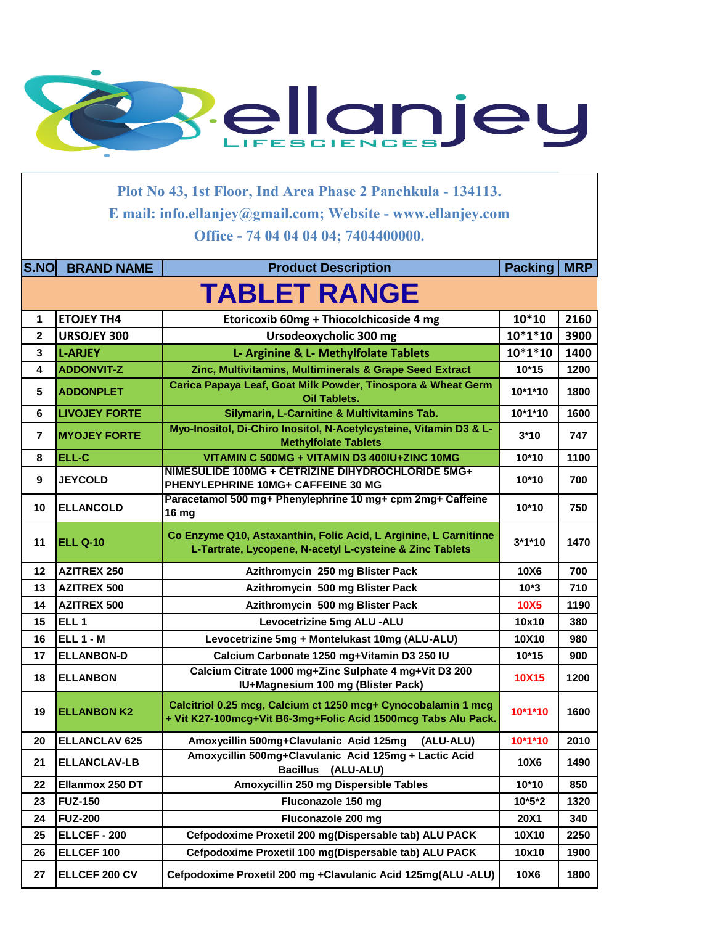

**Plot No 43, 1st Floor, Ind Area Phase 2 Panchkula - 134113. E mail: info.ellanjey@gmail.com; Website - www.ellanjey.com Office - 74 04 04 04 04; 7404400000.** 

| <b>S.NO</b>             | <b>BRAND NAME</b>    | <b>Product Description</b>                                                                                                     | <b>Packing</b> | <b>MRP</b> |
|-------------------------|----------------------|--------------------------------------------------------------------------------------------------------------------------------|----------------|------------|
|                         |                      | <b>TABLET RANGE</b>                                                                                                            |                |            |
| 1                       | <b>ETOJEY TH4</b>    | Etoricoxib 60mg + Thiocolchicoside 4 mg                                                                                        | $10*10$        | 2160       |
| $\overline{2}$          | <b>URSOJEY 300</b>   | Ursodeoxycholic 300 mg                                                                                                         | $10*1*10$      | 3900       |
| 3                       | <b>L-ARJEY</b>       | L- Arginine & L- Methylfolate Tablets                                                                                          | $10*1*10$      | 1400       |
| 4                       | <b>ADDONVIT-Z</b>    | Zinc, Multivitamins, Multiminerals & Grape Seed Extract                                                                        | $10*15$        | 1200       |
| 5                       | <b>ADDONPLET</b>     | Carica Papaya Leaf, Goat Milk Powder, Tinospora & Wheat Germ<br><b>Oil Tablets.</b>                                            | 10*1*10        | 1800       |
| 6                       | <b>LIVOJEY FORTE</b> | Silymarin, L-Carnitine & Multivitamins Tab.                                                                                    | 10*1*10        | 1600       |
| $\overline{\mathbf{r}}$ | <b>MYOJEY FORTE</b>  | Myo-Inositol, Di-Chiro Inositol, N-Acetylcysteine, Vitamin D3 & L-<br><b>Methylfolate Tablets</b>                              | $3*10$         | 747        |
| 8                       | ELL-C                | VITAMIN C 500MG + VITAMIN D3 400IU+ZINC 10MG                                                                                   | $10*10$        | 1100       |
| 9                       | <b>JEYCOLD</b>       | NIMESULIDE 100MG + CETRIZINE DIHYDROCHLORIDE 5MG+<br>PHENYLEPHRINE 10MG+ CAFFEINE 30 MG                                        | 10*10          | 700        |
| 10                      | <b>ELLANCOLD</b>     | Paracetamol 500 mg+ Phenylephrine 10 mg+ cpm 2mg+ Caffeine<br><b>16 mg</b>                                                     | $10*10$        | 750        |
| 11                      | <b>ELL Q-10</b>      | Co Enzyme Q10, Astaxanthin, Folic Acid, L Arginine, L Carnitinne<br>L-Tartrate, Lycopene, N-acetyl L-cysteine & Zinc Tablets   | $3*1*10$       | 1470       |
| 12                      | <b>AZITREX 250</b>   | Azithromycin 250 mg Blister Pack                                                                                               | 10X6           | 700        |
| 13                      | <b>AZITREX 500</b>   | Azithromycin 500 mg Blister Pack                                                                                               | $10*3$         | 710        |
| 14                      | <b>AZITREX 500</b>   | Azithromycin 500 mg Blister Pack                                                                                               | <b>10X5</b>    | 1190       |
| 15                      | ELL <sub>1</sub>     | Levocetrizine 5mg ALU -ALU                                                                                                     | 10x10          | 380        |
| 16                      | <b>ELL 1 - M</b>     | Levocetrizine 5mg + Montelukast 10mg (ALU-ALU)                                                                                 | 10X10          | 980        |
| 17                      | <b>ELLANBON-D</b>    | Calcium Carbonate 1250 mg+Vitamin D3 250 IU                                                                                    | $10*15$        | 900        |
| 18                      | <b>ELLANBON</b>      | Calcium Citrate 1000 mg+Zinc Sulphate 4 mg+Vit D3 200<br>IU+Magnesium 100 mg (Blister Pack)                                    | 10X15          | 1200       |
| 19                      | <b>ELLANBON K2</b>   | Calcitriol 0.25 mcg, Calcium ct 1250 mcg+ Cynocobalamin 1 mcg<br>+ Vit K27-100mcg+Vit B6-3mg+Folic Acid 1500mcg Tabs Alu Pack. | $10*1*10$      | 1600       |
| 20                      | <b>ELLANCLAV 625</b> | Amoxycillin 500mg+Clavulanic Acid 125mg<br>(ALU-ALU)                                                                           | 10*1*10        | 2010       |
| 21                      | <b>ELLANCLAV-LB</b>  | Amoxycillin 500mg+Clavulanic Acid 125mg + Lactic Acid<br>Bacillus (ALU-ALU)                                                    | 10X6           | 1490       |
| 22                      | Ellanmox 250 DT      | Amoxycillin 250 mg Dispersible Tables                                                                                          | 10*10          | 850        |
| 23                      | <b>FUZ-150</b>       | Fluconazole 150 mg                                                                                                             | $10*5*2$       | 1320       |
| 24                      | <b>FUZ-200</b>       | Fluconazole 200 mg                                                                                                             | <b>20X1</b>    | 340        |
| 25                      | ELLCEF - 200         | Cefpodoxime Proxetil 200 mg(Dispersable tab) ALU PACK                                                                          | 10X10          | 2250       |
| 26                      | ELLCEF 100           | Cefpodoxime Proxetil 100 mg(Dispersable tab) ALU PACK                                                                          | 10x10          | 1900       |
| 27                      | ELLCEF 200 CV        | Cefpodoxime Proxetil 200 mg +Clavulanic Acid 125mg(ALU -ALU)                                                                   | 10X6           | 1800       |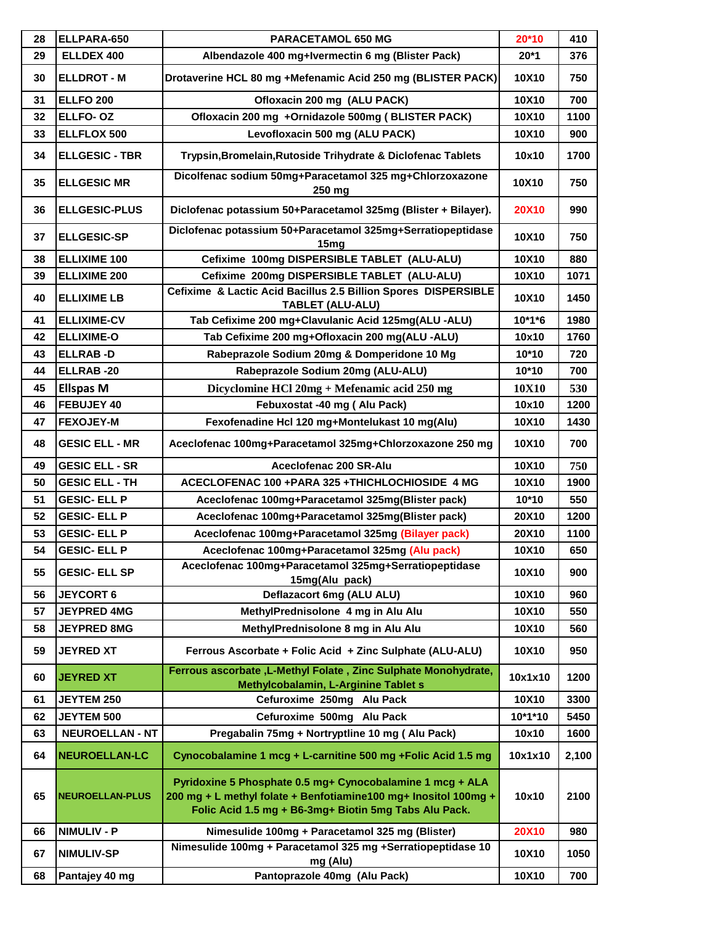| 28 | ELLPARA-650            | PARACETAMOL 650 MG                                                                                                                                                                    | 20*10        | 410   |
|----|------------------------|---------------------------------------------------------------------------------------------------------------------------------------------------------------------------------------|--------------|-------|
| 29 | ELLDEX 400             | Albendazole 400 mg+Ivermectin 6 mg (Blister Pack)                                                                                                                                     | $20*1$       | 376   |
| 30 | <b>ELLDROT - M</b>     | Drotaverine HCL 80 mg +Mefenamic Acid 250 mg (BLISTER PACK)                                                                                                                           | 10X10        | 750   |
| 31 | <b>ELLFO 200</b>       | Ofloxacin 200 mg (ALU PACK)                                                                                                                                                           | 10X10        | 700   |
| 32 | ELLFO-OZ               | Ofloxacin 200 mg +Ornidazole 500mg (BLISTER PACK)                                                                                                                                     | 10X10        | 1100  |
| 33 | ELLFLOX 500            | Levofloxacin 500 mg (ALU PACK)                                                                                                                                                        | 10X10        | 900   |
| 34 | <b>ELLGESIC - TBR</b>  | Trypsin, Bromelain, Rutoside Trihydrate & Diclofenac Tablets                                                                                                                          | 10x10        | 1700  |
| 35 | <b>ELLGESIC MR</b>     | Dicolfenac sodium 50mg+Paracetamol 325 mg+Chlorzoxazone<br>250 mg                                                                                                                     | 10X10        | 750   |
| 36 | <b>ELLGESIC-PLUS</b>   | Diclofenac potassium 50+Paracetamol 325mg (Blister + Bilayer).                                                                                                                        | <b>20X10</b> | 990   |
| 37 | <b>ELLGESIC-SP</b>     | Diclofenac potassium 50+Paracetamol 325mg+Serratiopeptidase<br>15 <sub>mg</sub>                                                                                                       | 10X10        | 750   |
| 38 | <b>ELLIXIME 100</b>    | Cefixime 100mg DISPERSIBLE TABLET (ALU-ALU)                                                                                                                                           | 10X10        | 880   |
| 39 | <b>ELLIXIME 200</b>    | Cefixime 200mg DISPERSIBLE TABLET (ALU-ALU)                                                                                                                                           | 10X10        | 1071  |
| 40 | <b>ELLIXIME LB</b>     | Cefixime & Lactic Acid Bacillus 2.5 Billion Spores DISPERSIBLE<br><b>TABLET (ALU-ALU)</b>                                                                                             | 10X10        | 1450  |
| 41 | <b>ELLIXIME-CV</b>     | Tab Cefixime 200 mg+Clavulanic Acid 125mg(ALU -ALU)                                                                                                                                   | $10*1*6$     | 1980  |
| 42 | <b>ELLIXIME-O</b>      | Tab Cefixime 200 mg+Ofloxacin 200 mg(ALU -ALU)                                                                                                                                        | 10x10        | 1760  |
| 43 | <b>ELLRAB-D</b>        | Rabeprazole Sodium 20mg & Domperidone 10 Mg                                                                                                                                           | 10*10        | 720   |
| 44 | ELLRAB-20              | Rabeprazole Sodium 20mg (ALU-ALU)                                                                                                                                                     | 10*10        | 700   |
| 45 | <b>Ellspas M</b>       | Dicyclomine HCl 20mg + Mefenamic acid 250 mg                                                                                                                                          | <b>10X10</b> | 530   |
| 46 | FEBUJEY 40             | Febuxostat -40 mg (Alu Pack)                                                                                                                                                          | 10x10        | 1200  |
| 47 | <b>FEXOJEY-M</b>       | Fexofenadine Hcl 120 mg+Montelukast 10 mg(Alu)                                                                                                                                        | 10X10        | 1430  |
| 48 | <b>GESIC ELL - MR</b>  | Aceclofenac 100mg+Paracetamol 325mg+Chlorzoxazone 250 mg                                                                                                                              | 10X10        | 700   |
| 49 | <b>GESIC ELL - SR</b>  | Aceclofenac 200 SR-Alu                                                                                                                                                                | 10X10        | 750   |
| 50 | <b>GESIC ELL - TH</b>  | ACECLOFENAC 100 + PARA 325 + THICHLOCHIOSIDE 4 MG                                                                                                                                     | 10X10        | 1900  |
| 51 | <b>GESIC- ELL P</b>    | Aceclofenac 100mg+Paracetamol 325mg(Blister pack)                                                                                                                                     | 10*10        | 550   |
| 52 | <b>GESIC- ELL P</b>    | Aceclofenac 100mg+Paracetamol 325mg(Blister pack)                                                                                                                                     | 20X10        | 1200  |
| 53 | <b>GESIC- ELL P</b>    | Aceclofenac 100mg+Paracetamol 325mg (Bilayer pack)                                                                                                                                    | 20X10        | 1100  |
| 54 | <b>GESIC- ELL P</b>    | Aceclofenac 100mg+Paracetamol 325mg (Alu pack)                                                                                                                                        | 10X10        | 650   |
| 55 | <b>GESIC- ELL SP</b>   | Aceclofenac 100mg+Paracetamol 325mg+Serratiopeptidase<br>15mg(Alu pack)                                                                                                               | 10X10        | 900   |
| 56 | <b>JEYCORT 6</b>       | Deflazacort 6mg (ALU ALU)                                                                                                                                                             | 10X10        | 960   |
| 57 | <b>JEYPRED 4MG</b>     | MethylPrednisolone 4 mg in Alu Alu                                                                                                                                                    | 10X10        | 550   |
| 58 | <b>JEYPRED 8MG</b>     | MethylPrednisolone 8 mg in Alu Alu                                                                                                                                                    | 10X10        | 560   |
| 59 | <b>JEYRED XT</b>       | Ferrous Ascorbate + Folic Acid + Zinc Sulphate (ALU-ALU)                                                                                                                              | 10X10        | 950   |
| 60 | <b>JEYRED XT</b>       | Ferrous ascorbate , L-Methyl Folate , Zinc Sulphate Monohydrate,<br>Methylcobalamin, L-Arginine Tablet s                                                                              | 10x1x10      | 1200  |
| 61 | <b>JEYTEM 250</b>      | Cefuroxime 250mg Alu Pack                                                                                                                                                             | 10X10        | 3300  |
| 62 | <b>JEYTEM 500</b>      | Cefuroxime 500mg Alu Pack                                                                                                                                                             | 10*1*10      | 5450  |
| 63 | <b>NEUROELLAN - NT</b> | Pregabalin 75mg + Nortryptline 10 mg (Alu Pack)                                                                                                                                       | 10x10        | 1600  |
| 64 | <b>NEUROELLAN-LC</b>   | Cynocobalamine 1 mcg + L-carnitine 500 mg +Folic Acid 1.5 mg                                                                                                                          | 10x1x10      | 2,100 |
| 65 | <b>NEUROELLAN-PLUS</b> | Pyridoxine 5 Phosphate 0.5 mg+ Cynocobalamine 1 mcg + ALA<br>200 mg + L methyl folate + Benfotiamine100 mg+ Inositol 100mg +<br>Folic Acid 1.5 mg + B6-3mg+ Biotin 5mg Tabs Alu Pack. | 10x10        | 2100  |
| 66 | <b>NIMULIV - P</b>     | Nimesulide 100mg + Paracetamol 325 mg (Blister)                                                                                                                                       | <b>20X10</b> | 980   |
| 67 | <b>NIMULIV-SP</b>      | Nimesulide 100mg + Paracetamol 325 mg +Serratiopeptidase 10<br>mg (Alu)                                                                                                               | 10X10        | 1050  |
| 68 | Pantajey 40 mg         | Pantoprazole 40mg (Alu Pack)                                                                                                                                                          | 10X10        | 700   |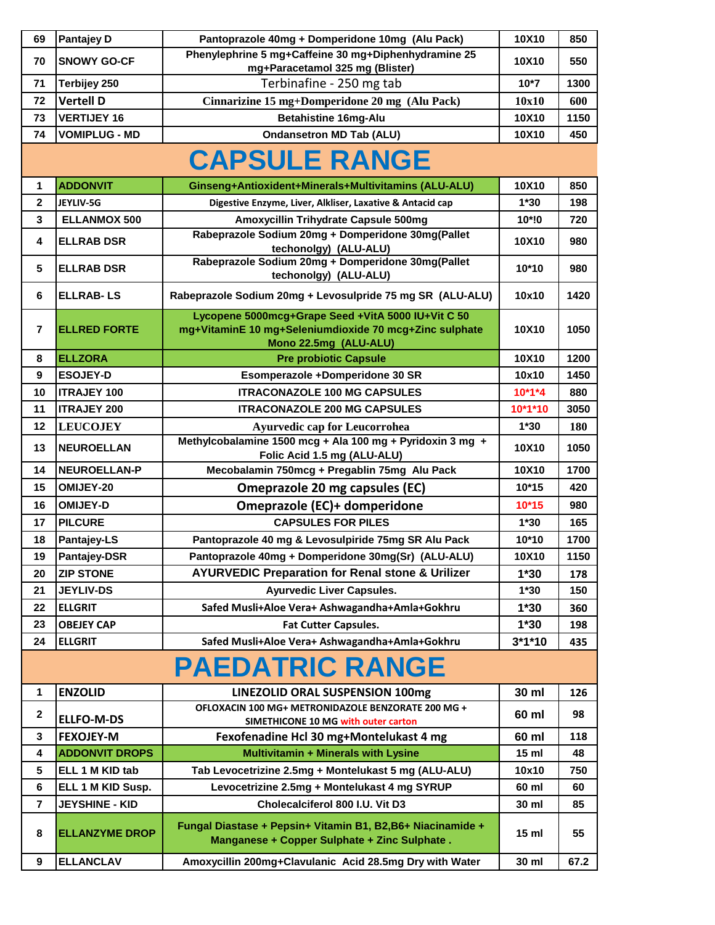| 69               | <b>Pantajey D</b>     | Pantoprazole 40mg + Domperidone 10mg (Alu Pack)                                                                                       | 10X10           | 850         |
|------------------|-----------------------|---------------------------------------------------------------------------------------------------------------------------------------|-----------------|-------------|
| 70               | <b>SNOWY GO-CF</b>    | Phenylephrine 5 mg+Caffeine 30 mg+Diphenhydramine 25                                                                                  | 10X10           | 550         |
| 71               | Terbijey 250          | mg+Paracetamol 325 mg (Blister)<br>Terbinafine - 250 mg tab                                                                           | $10*7$          | 1300        |
| 72               | <b>Vertell D</b>      |                                                                                                                                       |                 |             |
| 73               | <b>VERTIJEY 16</b>    | Cinnarizine 15 mg+Domperidone 20 mg (Alu Pack)<br><b>Betahistine 16mg-Alu</b>                                                         | 10x10<br>10X10  | 600<br>1150 |
| 74               | <b>VOMIPLUG - MD</b>  | <b>Ondansetron MD Tab (ALU)</b>                                                                                                       | 10X10           | 450         |
|                  |                       |                                                                                                                                       |                 |             |
|                  |                       | <b>CAPSULE RANGE</b>                                                                                                                  |                 |             |
| 1                | <b>ADDONVIT</b>       | Ginseng+Antioxident+Minerals+Multivitamins (ALU-ALU)                                                                                  | 10X10           | 850         |
| $\overline{2}$   | JEYLIV-5G             | Digestive Enzyme, Liver, Alkliser, Laxative & Antacid cap                                                                             | $1*30$          | 198         |
| $\mathbf{3}$     | <b>ELLANMOX 500</b>   | Amoxycillin Trihydrate Capsule 500mg                                                                                                  | 10*!0           | 720         |
| 4                | <b>ELLRAB DSR</b>     | Rabeprazole Sodium 20mg + Domperidone 30mg(Pallet<br>techonolgy) (ALU-ALU)                                                            | 10X10           | 980         |
| 5                | <b>ELLRAB DSR</b>     | Rabeprazole Sodium 20mg + Domperidone 30mg(Pallet<br>techonolgy) (ALU-ALU)                                                            | 10*10           | 980         |
| 6                | <b>ELLRAB-LS</b>      | Rabeprazole Sodium 20mg + Levosulpride 75 mg SR (ALU-ALU)                                                                             | 10x10           | 1420        |
| $\overline{7}$   | <b>ELLRED FORTE</b>   | Lycopene 5000mcg+Grape Seed +VitA 5000 IU+Vit C 50<br>mg+VitaminE 10 mg+Seleniumdioxide 70 mcg+Zinc sulphate<br>Mono 22.5mg (ALU-ALU) | 10X10           | 1050        |
| 8                | <b>ELLZORA</b>        | <b>Pre probiotic Capsule</b>                                                                                                          | 10X10           | 1200        |
| $\boldsymbol{9}$ | <b>ESOJEY-D</b>       | Esomperazole +Domperidone 30 SR                                                                                                       | 10x10           | 1450        |
| 10               | <b>ITRAJEY 100</b>    | <b>ITRACONAZOLE 100 MG CAPSULES</b>                                                                                                   | $10*1*4$        | 880         |
| 11               | <b>ITRAJEY 200</b>    | <b>ITRACONAZOLE 200 MG CAPSULES</b>                                                                                                   | 10*1*10         | 3050        |
| 12               | <b>LEUCOJEY</b>       | <b>Ayurvedic cap for Leucorrohea</b>                                                                                                  | $1*30$          | <b>180</b>  |
| 13               | <b>NEUROELLAN</b>     | Methylcobalamine 1500 mcg + Ala 100 mg + Pyridoxin 3 mg +<br>Folic Acid 1.5 mg (ALU-ALU)                                              | <b>10X10</b>    | 1050        |
| 14               | <b>NEUROELLAN-P</b>   | Mecobalamin 750mcg + Pregablin 75mg Alu Pack                                                                                          | 10X10           | 1700        |
| 15               | OMIJEY-20             | <b>Omeprazole 20 mg capsules (EC)</b>                                                                                                 | $10*15$         | 420         |
| 16               | <b>OMIJEY-D</b>       | Omeprazole (EC)+ domperidone                                                                                                          | $10*15$         | 980         |
| 17               | <b>PILCURE</b>        | <b>CAPSULES FOR PILES</b>                                                                                                             | $1*30$          | 165         |
| 18               | <b>Pantajey-LS</b>    | Pantoprazole 40 mg & Levosulpiride 75mg SR Alu Pack                                                                                   | $10*10$         | 1700        |
| 19               | Pantajey-DSR          | Pantoprazole 40mg + Domperidone 30mg(Sr) (ALU-ALU)                                                                                    | 10X10           | 1150        |
| 20               | <b>ZIP STONE</b>      | <b>AYURVEDIC Preparation for Renal stone &amp; Urilizer</b>                                                                           | $1*30$          | 178         |
| 21               | <b>JEYLIV-DS</b>      | <b>Ayurvedic Liver Capsules.</b>                                                                                                      | $1*30$          | 150         |
| 22               | <b>ELLGRIT</b>        | Safed Musli+Aloe Vera+ Ashwagandha+Amla+Gokhru                                                                                        | $1*30$          | 360         |
| 23               | <b>OBEJEY CAP</b>     | <b>Fat Cutter Capsules.</b>                                                                                                           | $1*30$          | 198         |
| 24               | <b>ELLGRIT</b>        | Safed Musli+Aloe Vera+ Ashwagandha+Amla+Gokhru                                                                                        | $3*1*10$        | 435         |
|                  |                       | <b>PAEDATRIC RANGE</b>                                                                                                                |                 |             |
| 1                | <b>ENZOLID</b>        | LINEZOLID ORAL SUSPENSION 100mg                                                                                                       | 30 ml           | 126         |
| $\mathbf{2}$     | <b>ELLFO-M-DS</b>     | OFLOXACIN 100 MG+ METRONIDAZOLE BENZORATE 200 MG +<br>SIMETHICONE 10 MG with outer carton                                             | 60 ml           | 98          |
| $\mathbf{3}$     | <b>FEXOJEY-M</b>      | Fexofenadine Hcl 30 mg+Montelukast 4 mg                                                                                               | 60 ml           | 118         |
| 4                | <b>ADDONVIT DROPS</b> | Multivitamin + Minerals with Lysine                                                                                                   | 15 <sub>m</sub> | 48          |
| $5\phantom{.0}$  | ELL 1 M KID tab       | Tab Levocetrizine 2.5mg + Montelukast 5 mg (ALU-ALU)                                                                                  | 10x10           | 750         |
| 6                | ELL 1 M KID Susp.     | Levocetrizine 2.5mg + Montelukast 4 mg SYRUP                                                                                          | 60 ml           | 60          |
| $\overline{7}$   | <b>JEYSHINE - KID</b> | Cholecalciferol 800 I.U. Vit D3                                                                                                       | 30 ml           | 85          |
| 8                | <b>ELLANZYME DROP</b> | Fungal Diastase + Pepsin+ Vitamin B1, B2,B6+ Niacinamide +<br>Manganese + Copper Sulphate + Zinc Sulphate.                            | 15 <sub>m</sub> | 55          |
| 9                | <b>ELLANCLAV</b>      | Amoxycillin 200mg+Clavulanic Acid 28.5mg Dry with Water                                                                               | 30 ml           | 67.2        |
|                  |                       |                                                                                                                                       |                 |             |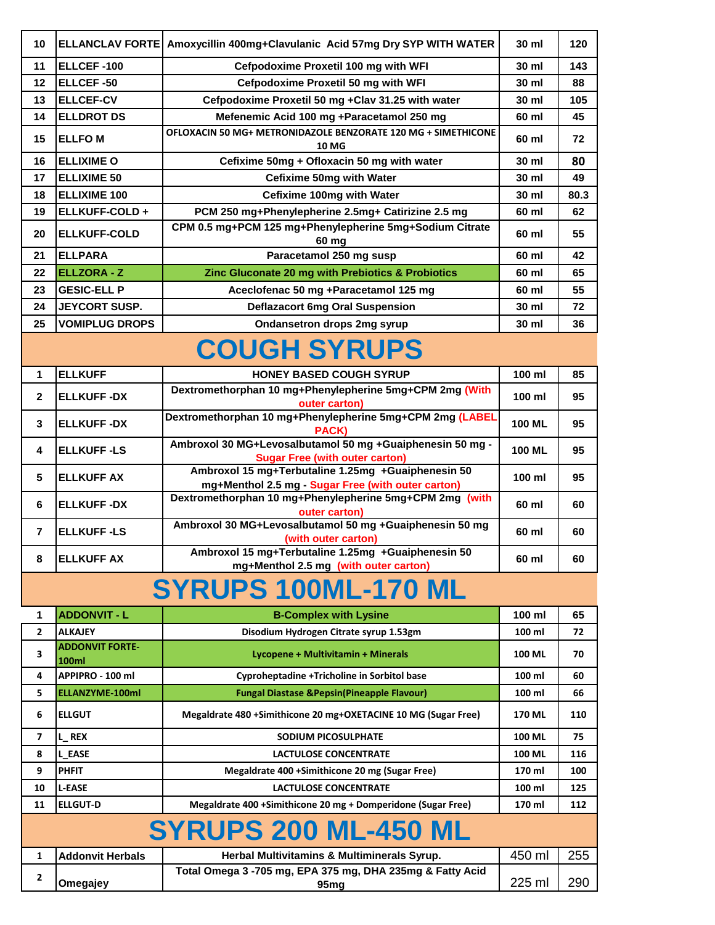| 10             | <b>ELLANCLAV FORTE</b>                     | Amoxycillin 400mg+Clavulanic Acid 57mg Dry SYP WITH WATER                                                | 30 ml         | 120  |  |
|----------------|--------------------------------------------|----------------------------------------------------------------------------------------------------------|---------------|------|--|
| 11             | ELLCEF-100                                 | Cefpodoxime Proxetil 100 mg with WFI                                                                     | 30 ml         | 143  |  |
| 12             | <b>ELLCEF-50</b>                           | Cefpodoxime Proxetil 50 mg with WFI                                                                      | 30 ml         | 88   |  |
| 13             | <b>ELLCEF-CV</b>                           | Cefpodoxime Proxetil 50 mg +Clav 31.25 with water                                                        | 30 ml         | 105  |  |
| 14             | <b>ELLDROT DS</b>                          | Mefenemic Acid 100 mg +Paracetamol 250 mg                                                                | 60 ml         | 45   |  |
| 15             | <b>ELLFOM</b>                              | OFLOXACIN 50 MG+ METRONIDAZOLE BENZORATE 120 MG + SIMETHICONE<br><b>10 MG</b>                            | 60 ml         | 72   |  |
| 16             | <b>ELLIXIME O</b>                          | Cefixime 50mg + Ofloxacin 50 mg with water                                                               | 30 ml         | 80   |  |
| 17             | <b>ELLIXIME 50</b>                         | <b>Cefixime 50mg with Water</b>                                                                          | 30 ml         | 49   |  |
| 18             | <b>ELLIXIME 100</b>                        | Cefixime 100mg with Water                                                                                | 30 ml         | 80.3 |  |
| 19             | ELLKUFF-COLD+                              | PCM 250 mg+Phenylepherine 2.5mg+ Catirizine 2.5 mg                                                       | 60 ml         | 62   |  |
| 20             | <b>ELLKUFF-COLD</b>                        | CPM 0.5 mg+PCM 125 mg+Phenylepherine 5mg+Sodium Citrate<br>60 mg                                         | 60 ml         | 55   |  |
| 21             | <b>ELLPARA</b>                             | Paracetamol 250 mg susp                                                                                  | 60 ml         | 42   |  |
| 22             | <b>ELLZORA - Z</b>                         | Zinc Gluconate 20 mg with Prebiotics & Probiotics                                                        | 60 ml         | 65   |  |
| 23             | <b>GESIC-ELL P</b>                         | Aceclofenac 50 mg +Paracetamol 125 mg                                                                    | 60 ml         | 55   |  |
| 24             | <b>JEYCORT SUSP.</b>                       | <b>Deflazacort 6mg Oral Suspension</b>                                                                   | 30 ml         | 72   |  |
| 25             | <b>VOMIPLUG DROPS</b>                      | <b>Ondansetron drops 2mg syrup</b>                                                                       | 30 ml         | 36   |  |
|                |                                            | <b>COUGH SYRUPS</b>                                                                                      |               |      |  |
| 1              | <b>ELLKUFF</b>                             | <b>HONEY BASED COUGH SYRUP</b>                                                                           | 100 ml        | 85   |  |
| $\mathbf{2}$   | <b>ELLKUFF-DX</b>                          | Dextromethorphan 10 mg+Phenylepherine 5mg+CPM 2mg (With<br>outer carton)                                 | 100 ml        | 95   |  |
| 3              | <b>ELLKUFF-DX</b>                          | Dextromethorphan 10 mg+Phenylepherine 5mg+CPM 2mg (LABEL<br>PACK)                                        | <b>100 ML</b> | 95   |  |
| 4              | <b>ELLKUFF-LS</b>                          | Ambroxol 30 MG+Levosalbutamol 50 mg +Guaiphenesin 50 mg -<br><b>Sugar Free (with outer carton)</b>       | <b>100 ML</b> | 95   |  |
| 5              | <b>ELLKUFF AX</b>                          | Ambroxol 15 mg+Terbutaline 1.25mg +Guaiphenesin 50<br>mg+Menthol 2.5 mg - Sugar Free (with outer carton) | 100 ml        | 95   |  |
| 6              | <b>ELLKUFF-DX</b>                          | Dextromethorphan 10 mg+Phenylepherine 5mg+CPM 2mg (with<br>outer carton)                                 | 60 ml         | 60   |  |
| $\overline{7}$ | <b>ELLKUFF-LS</b>                          | Ambroxol 30 MG+Levosalbutamol 50 mg +Guaiphenesin 50 mg<br>(with outer carton)                           | 60 ml         | 60   |  |
| 8              | <b>ELLKUFF AX</b>                          | Ambroxol 15 mg+Terbutaline 1.25mg +Guaiphenesin 50<br>mg+Menthol 2.5 mg (with outer carton)              | 60 ml         | 60   |  |
|                | <b>SYRUPS 100ML-170 ML</b>                 |                                                                                                          |               |      |  |
| 1              | <b>ADDONVIT - L</b>                        | <b>B-Complex with Lysine</b>                                                                             | 100 ml        | 65   |  |
| $\overline{2}$ | <b>ALKAJEY</b>                             | Disodium Hydrogen Citrate syrup 1.53gm                                                                   | 100 ml        | 72   |  |
| 3              | <b>ADDONVIT FORTE-</b>                     | Lycopene + Multivitamin + Minerals                                                                       | <b>100 ML</b> | 70   |  |
|                | 100ml                                      |                                                                                                          | 100 ml        | 60   |  |
| 4<br>5         | APPIPRO - 100 ml<br><b>ELLANZYME-100ml</b> | Cyproheptadine +Tricholine in Sorbitol base<br><b>Fungal Diastase &amp; Pepsin (Pineapple Flavour)</b>   | 100 ml        | 66   |  |
|                |                                            |                                                                                                          |               |      |  |
| 6              | <b>ELLGUT</b>                              | Megaldrate 480 +Simithicone 20 mg+OXETACINE 10 MG (Sugar Free)                                           | <b>170 ML</b> | 110  |  |
| $\overline{7}$ | L_REX                                      | SODIUM PICOSULPHATE                                                                                      | 100 ML        | 75   |  |
| 8              | <b>L EASE</b>                              | <b>LACTULOSE CONCENTRATE</b>                                                                             | <b>100 ML</b> | 116  |  |
| 9              | <b>PHFIT</b>                               | Megaldrate 400 +Simithicone 20 mg (Sugar Free)                                                           | 170 ml        | 100  |  |
| 10             | <b>L-EASE</b>                              | <b>LACTULOSE CONCENTRATE</b>                                                                             | 100 ml        | 125  |  |
| 11             | <b>ELLGUT-D</b>                            | Megaldrate 400 +Simithicone 20 mg + Domperidone (Sugar Free)                                             | 170 ml        | 112  |  |
|                |                                            | <b>SYRUPS 200 ML-450 ML</b>                                                                              |               |      |  |
| 1              | <b>Addonvit Herbals</b>                    | Herbal Multivitamins & Multiminerals Syrup.                                                              | 450 ml        | 255  |  |
| $\mathbf{2}$   | Omegajey                                   | Total Omega 3 -705 mg, EPA 375 mg, DHA 235mg & Fatty Acid<br>95 <sub>mg</sub>                            | 225 ml        | 290  |  |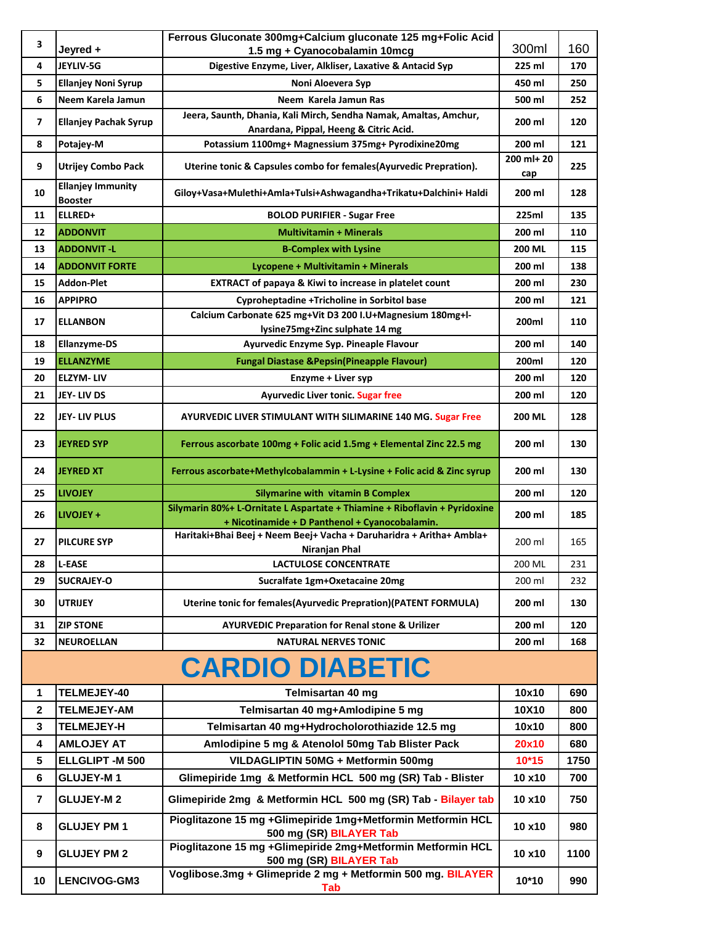| 3                       |                                            | Ferrous Gluconate 300mg+Calcium gluconate 125 mg+Folic Acid                                                                                           |                   |            |
|-------------------------|--------------------------------------------|-------------------------------------------------------------------------------------------------------------------------------------------------------|-------------------|------------|
|                         | Jeyred +                                   | 1.5 mg + Cyanocobalamin 10mcg                                                                                                                         | 300ml             | 160        |
| 4                       | JEYLIV-5G                                  | Digestive Enzyme, Liver, Alkliser, Laxative & Antacid Syp                                                                                             | 225 ml            | 170        |
| 5                       | <b>Ellanjey Noni Syrup</b>                 | Noni Aloevera Syp                                                                                                                                     | 450 ml            | 250        |
| 6                       | Neem Karela Jamun                          | Neem Karela Jamun Ras<br>Jeera, Saunth, Dhania, Kali Mirch, Sendha Namak, Amaltas, Amchur,                                                            | 500 ml            | 252        |
| 7                       | <b>Ellanjey Pachak Syrup</b>               | Anardana, Pippal, Heeng & Citric Acid.                                                                                                                | 200 ml            | 120        |
| 8                       | Potajey-M                                  | Potassium 1100mg+ Magnessium 375mg+ Pyrodixine20mg                                                                                                    | 200 ml            | 121        |
| 9                       | <b>Utrijey Combo Pack</b>                  | Uterine tonic & Capsules combo for females(Ayurvedic Prepration).                                                                                     | 200 ml+ 20<br>cap | 225        |
| 10                      | <b>Ellanjey Immunity</b><br><b>Booster</b> | Giloy+Vasa+Mulethi+Amla+Tulsi+Ashwagandha+Trikatu+Dalchini+ Haldi                                                                                     | 200 ml            | 128        |
| 11                      | ELLRED+                                    | <b>BOLOD PURIFIER - Sugar Free</b>                                                                                                                    | 225ml             | 135        |
| 12                      | <b>ADDONVIT</b>                            | <b>Multivitamin + Minerals</b>                                                                                                                        | 200 ml            | 110        |
| 13                      | <b>ADDONVIT-L</b>                          | <b>B-Complex with Lysine</b>                                                                                                                          | 200 ML            | 115        |
| 14                      | <b>ADDONVIT FORTE</b>                      | Lycopene + Multivitamin + Minerals                                                                                                                    | 200 ml            | 138        |
| 15                      | Addon-Plet                                 | EXTRACT of papaya & Kiwi to increase in platelet count                                                                                                | 200 ml            | 230        |
| 16                      | <b>APPIPRO</b>                             | Cyproheptadine +Tricholine in Sorbitol base                                                                                                           | 200 ml            | 121        |
| 17                      | <b>ELLANBON</b>                            | Calcium Carbonate 625 mg+Vit D3 200 I.U+Magnesium 180mg+l-                                                                                            | 200ml             | 110        |
| 18                      | <b>Ellanzyme-DS</b>                        | lysine75mg+Zinc sulphate 14 mg<br>Ayurvedic Enzyme Syp. Pineaple Flavour                                                                              | 200 ml            | 140        |
| 19                      | <b>ELLANZYME</b>                           | <b>Fungal Diastase &amp; Pepsin (Pineapple Flavour)</b>                                                                                               | 200ml             | 120        |
|                         | <b>ELZYM-LIV</b>                           |                                                                                                                                                       |                   |            |
| 20<br>21                | JEY-LIV DS                                 | Enzyme + Liver syp                                                                                                                                    | 200 ml            | 120        |
|                         |                                            | <b>Ayurvedic Liver tonic. Sugar free</b>                                                                                                              | 200 ml            | 120        |
| 22                      | JEY- LIV PLUS                              | AYURVEDIC LIVER STIMULANT WITH SILIMARINE 140 MG. Sugar Free                                                                                          | <b>200 ML</b>     | 128        |
| 23                      | <b>JEYRED SYP</b>                          | Ferrous ascorbate 100mg + Folic acid 1.5mg + Elemental Zinc 22.5 mg                                                                                   | 200 ml            | 130        |
|                         |                                            |                                                                                                                                                       |                   |            |
| 24                      | <b>JEYRED XT</b>                           | Ferrous ascorbate+Methylcobalammin + L-Lysine + Folic acid & Zinc syrup                                                                               | 200 ml            | 130        |
| 25                      | <b>LIVOJEY</b>                             | <b>Silymarine with vitamin B Complex</b>                                                                                                              | 200 ml            | 120        |
| 26                      | LIVOJEY +                                  | Silymarin 80%+ L-Ornitate L Aspartate + Thiamine + Riboflavin + Pyridoxine<br>+ Nicotinamide + D Panthenol + Cyanocobalamin.                          | 200 ml            | 185        |
| 27                      | <b>PILCURE SYP</b>                         | Haritaki+Bhai Beej + Neem Beej+ Vacha + Daruharidra + Aritha+ Ambla+                                                                                  | 200 ml            | 165        |
|                         |                                            | Niranjan Phal                                                                                                                                         |                   |            |
| 28                      | <b>L-EASE</b>                              | <b>LACTULOSE CONCENTRATE</b>                                                                                                                          | 200 ML            | 231        |
| 29<br>30                | <b>SUCRAJEY-O</b><br><b>UTRIJEY</b>        | Sucralfate 1gm+Oxetacaine 20mg<br>Uterine tonic for females(Ayurvedic Prepration)(PATENT FORMULA)                                                     | 200 ml<br>200 ml  | 232<br>130 |
|                         |                                            |                                                                                                                                                       |                   |            |
| 31                      | <b>ZIP STONE</b>                           | <b>AYURVEDIC Preparation for Renal stone &amp; Urilizer</b>                                                                                           | 200 ml            | 120        |
| 32                      | <b>NEUROELLAN</b>                          | <b>NATURAL NERVES TONIC</b>                                                                                                                           | 200 ml            | 168        |
|                         |                                            | <b>CARDIO DIABETIC</b>                                                                                                                                |                   |            |
| 1                       | TELMEJEY-40                                | Telmisartan 40 mg                                                                                                                                     | 10x10             | 690        |
| 2                       | <b>TELMEJEY-AM</b>                         | Telmisartan 40 mg+Amlodipine 5 mg                                                                                                                     | 10X10             | 800        |
| 3                       | <b>TELMEJEY-H</b>                          | Telmisartan 40 mg+Hydrocholorothiazide 12.5 mg                                                                                                        | 10x10             | 800        |
| 4                       | <b>AMLOJEY AT</b>                          | Amlodipine 5 mg & Atenolol 50mg Tab Blister Pack                                                                                                      | 20x10             | 680        |
| 5                       | ELLGLIPT -M 500                            | VILDAGLIPTIN 50MG + Metformin 500mg                                                                                                                   | $10*15$           | 1750       |
| 6                       | <b>GLUJEY-M1</b>                           | Glimepiride 1mg & Metformin HCL 500 mg (SR) Tab - Blister                                                                                             | 10 x10            | 700        |
| $\overline{\mathbf{7}}$ | <b>GLUJEY-M2</b>                           | Glimepiride 2mg & Metformin HCL 500 mg (SR) Tab - Bilayer tab                                                                                         | 10 x10            | 750        |
| 8                       | <b>GLUJEY PM1</b>                          | Pioglitazone 15 mg +Glimepiride 1mg+Metformin Metformin HCL<br>500 mg (SR) BILAYER Tab                                                                | 10 x10            | 980        |
| 9                       | <b>GLUJEY PM 2</b>                         | Pioglitazone 15 mg +Glimepiride 2mg+Metformin Metformin HCL<br>500 mg (SR) BILAYER Tab<br>Voglibose.3mg + Glimepride 2 mg + Metformin 500 mg. BILAYER | 10 x10            | 1100       |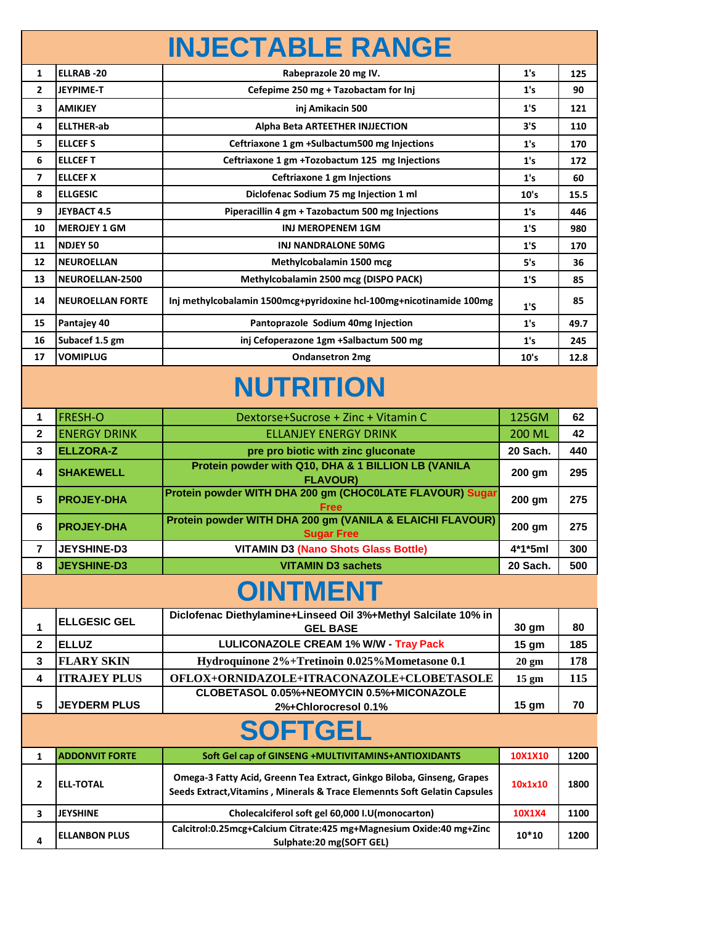|                         |                         | <b>INJECTABLE RANGE</b>                                                                                                                             |                 |      |
|-------------------------|-------------------------|-----------------------------------------------------------------------------------------------------------------------------------------------------|-----------------|------|
| 1                       | <b>ELLRAB-20</b>        | Rabeprazole 20 mg IV.                                                                                                                               | 1's             | 125  |
| $\overline{2}$          | <b>JEYPIME-T</b>        | Cefepime 250 mg + Tazobactam for Inj                                                                                                                | 1's             | 90   |
| 3                       | <b>AMIKJEY</b>          | inj Amikacin 500                                                                                                                                    | 1'S             | 121  |
| 4                       | <b>ELLTHER-ab</b>       | Alpha Beta ARTEETHER INJJECTION                                                                                                                     | 3'5             | 110  |
| 5                       | <b>ELLCEFS</b>          | Ceftriaxone 1 gm +Sulbactum500 mg Injections                                                                                                        | 1's             | 170  |
| 6                       | <b>ELLCEFT</b>          | Ceftriaxone 1 gm +Tozobactum 125 mg Injections                                                                                                      | 1's             | 172  |
| $\overline{\mathbf{z}}$ | <b>ELLCEF X</b>         | Ceftriaxone 1 gm Injections                                                                                                                         | 1's             | 60   |
| 8                       | <b>ELLGESIC</b>         | Diclofenac Sodium 75 mg Injection 1 ml                                                                                                              | 10's            | 15.5 |
| 9                       | <b>JEYBACT 4.5</b>      | Piperacillin 4 gm + Tazobactum 500 mg Injections                                                                                                    | 1's             | 446  |
| 10                      | <b>MEROJEY 1 GM</b>     | <b>INJ MEROPENEM 1GM</b>                                                                                                                            | 1'S             | 980  |
| 11                      | <b>NDJEY 50</b>         | INJ NANDRALONE 50MG                                                                                                                                 | 1'5             | 170  |
| 12                      | <b>NEUROELLAN</b>       | Methylcobalamin 1500 mcg                                                                                                                            | 5's             | 36   |
| 13                      | NEUROELLAN-2500         | Methylcobalamin 2500 mcg (DISPO PACK)                                                                                                               | 1'S             | 85   |
| 14                      | <b>NEUROELLAN FORTE</b> | Inj methylcobalamin 1500mcg+pyridoxine hcl-100mg+nicotinamide 100mg                                                                                 | 1'S             | 85   |
| 15                      | Pantajey 40             | Pantoprazole Sodium 40mg Injection                                                                                                                  | 1's             | 49.7 |
| 16                      | Subacef 1.5 gm          | inj Cefoperazone 1gm +Salbactum 500 mg                                                                                                              | 1's             | 245  |
| 17                      | <b>VOMIPLUG</b>         | <b>Ondansetron 2mg</b>                                                                                                                              | 10's            | 12.8 |
|                         |                         | <b>NUTRITION</b>                                                                                                                                    |                 |      |
| 1                       | <b>FRESH-O</b>          | Dextorse+Sucrose + Zinc + Vitamin C                                                                                                                 | 125GM           | 62   |
| $\mathbf 2$             | <b>ENERGY DRINK</b>     | <b>ELLANJEY ENERGY DRINK</b>                                                                                                                        | <b>200 ML</b>   | 42   |
| 3                       | <b>ELLZORA-Z</b>        | pre pro biotic with zinc gluconate                                                                                                                  | 20 Sach.        | 440  |
| 4                       | <b>SHAKEWELL</b>        | Protein powder with Q10, DHA & 1 BILLION LB (VANILA<br><b>FLAVOUR)</b>                                                                              | 200 gm          | 295  |
| 5                       | <b>PROJEY-DHA</b>       | Protein powder WITH DHA 200 gm (CHOCOLATE FLAVOUR) Sugar<br>Free                                                                                    | 200 gm          | 275  |
| 6                       | <b>PROJEY-DHA</b>       | Protein powder WITH DHA 200 gm (VANILA & ELAICHI FLAVOUR)<br><b>Sugar Free</b>                                                                      | 200 gm          | 275  |
| 7                       | <b>JEYSHINE-D3</b>      | <b>VITAMIN D3 (Nano Shots Glass Bottle)</b>                                                                                                         | 4*1*5ml         | 300  |
| 8                       | <b>JEYSHINE-D3</b>      | <b>VITAMIN D3 sachets</b>                                                                                                                           | 20 Sach.        | 500  |
|                         |                         | <b>OINTMENT</b>                                                                                                                                     |                 |      |
|                         |                         | Diclofenac Diethylamine+Linseed Oil 3%+Methyl Salcilate 10% in                                                                                      |                 |      |
| 1                       | <b>ELLGESIC GEL</b>     | <b>GEL BASE</b>                                                                                                                                     | 30 gm           | 80   |
| $\mathbf{2}$            | <b>ELLUZ</b>            | <b>LULICONAZOLE CREAM 1% W/W - Tray Pack</b>                                                                                                        | 15 gm           | 185  |
| 3                       | <b>FLARY SKIN</b>       | Hydroquinone 2%+Tretinoin 0.025%Mometasone 0.1                                                                                                      | $20 \text{ gm}$ | 178  |
| 4                       | <b>ITRAJEY PLUS</b>     | OFLOX+ORNIDAZOLE+ITRACONAZOLE+CLOBETASOLE                                                                                                           | $15 \text{ gm}$ | 115  |
| 5                       | <b>JEYDERM PLUS</b>     | CLOBETASOL 0.05%+NEOMYCIN 0.5%+MICONAZOLE<br>2%+Chlorocresol 0.1%                                                                                   | 15 gm           | 70   |
|                         |                         | <b>SOFTGEL</b>                                                                                                                                      |                 |      |
| $\mathbf{1}$            | <b>ADDONVIT FORTE</b>   | Soft Gel cap of GINSENG +MULTIVITAMINS+ANTIOXIDANTS                                                                                                 | 10X1X10         | 1200 |
| 2                       | <b>ELL-TOTAL</b>        | Omega-3 Fatty Acid, Greenn Tea Extract, Ginkgo Biloba, Ginseng, Grapes<br>Seeds Extract, Vitamins, Minerals & Trace Elemennts Soft Gelatin Capsules | 10x1x10         | 1800 |
| 3                       | <b>JEYSHINE</b>         | Cholecalciferol soft gel 60,000 I.U(monocarton)                                                                                                     | 10X1X4          | 1100 |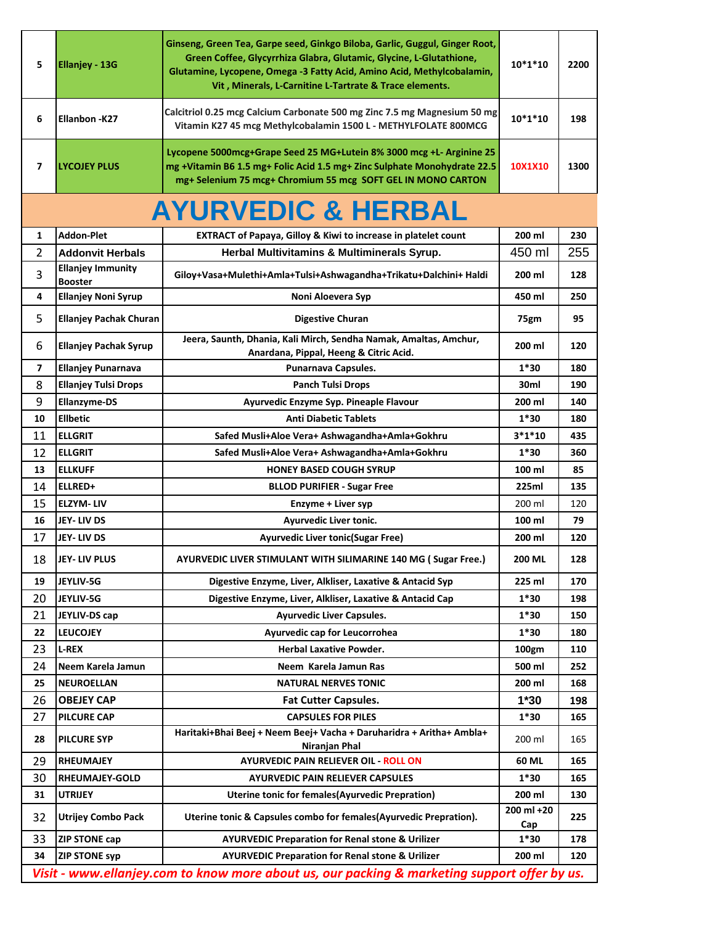| 5            | <b>Ellanjey - 13G</b>                      | Ginseng, Green Tea, Garpe seed, Ginkgo Biloba, Garlic, Guggul, Ginger Root,<br>Green Coffee, Glycyrrhiza Glabra, Glutamic, Glycine, L-Glutathione,<br>Glutamine, Lycopene, Omega -3 Fatty Acid, Amino Acid, Methylcobalamin,<br>Vit, Minerals, L-Carnitine L-Tartrate & Trace elements. | $10*1*10$         | 2200 |
|--------------|--------------------------------------------|-----------------------------------------------------------------------------------------------------------------------------------------------------------------------------------------------------------------------------------------------------------------------------------------|-------------------|------|
| 6            | <b>Ellanbon -K27</b>                       | Calcitriol 0.25 mcg Calcium Carbonate 500 mg Zinc 7.5 mg Magnesium 50 mg<br>Vitamin K27 45 mcg Methylcobalamin 1500 L - METHYLFOLATE 800MCG                                                                                                                                             | 10*1*10           | 198  |
| 7            | <b>LYCOJEY PLUS</b>                        | Lycopene 5000mcg+Grape Seed 25 MG+Lutein 8% 3000 mcg +L- Arginine 25<br>mg +Vitamin B6 1.5 mg+ Folic Acid 1.5 mg+ Zinc Sulphate Monohydrate 22.5<br>mg+ Selenium 75 mcg+ Chromium 55 mcg SOFT GEL IN MONO CARTON                                                                        | 10X1X10           | 1300 |
|              |                                            | <b>AYURVEDIC &amp; HERBAL</b>                                                                                                                                                                                                                                                           |                   |      |
| $\mathbf{1}$ | <b>Addon-Plet</b>                          | <b>EXTRACT of Papaya, Gilloy &amp; Kiwi to increase in platelet count</b>                                                                                                                                                                                                               | 200 ml            | 230  |
| 2            | <b>Addonvit Herbals</b>                    | Herbal Multivitamins & Multiminerals Syrup.                                                                                                                                                                                                                                             | 450 ml            | 255  |
| 3            | <b>Ellanjey Immunity</b><br><b>Booster</b> | Giloy+Vasa+Mulethi+Amla+Tulsi+Ashwagandha+Trikatu+Dalchini+ Haldi                                                                                                                                                                                                                       | 200 ml            | 128  |
| 4            | <b>Ellanjey Noni Syrup</b>                 | Noni Aloevera Syp                                                                                                                                                                                                                                                                       | 450 ml            | 250  |
| 5            | <b>Ellanjey Pachak Churan</b>              | <b>Digestive Churan</b>                                                                                                                                                                                                                                                                 | 75gm              | 95   |
| 6            | <b>Ellanjey Pachak Syrup</b>               | Jeera, Saunth, Dhania, Kali Mirch, Sendha Namak, Amaltas, Amchur,<br>Anardana, Pippal, Heeng & Citric Acid.                                                                                                                                                                             | 200 ml            | 120  |
| 7            | <b>Ellanjey Punarnava</b>                  | Punarnava Capsules.                                                                                                                                                                                                                                                                     | 1*30              | 180  |
| 8            | <b>Ellanjey Tulsi Drops</b>                | <b>Panch Tulsi Drops</b>                                                                                                                                                                                                                                                                | 30ml              | 190  |
| 9            | <b>Ellanzyme-DS</b>                        | Ayurvedic Enzyme Syp. Pineaple Flavour                                                                                                                                                                                                                                                  | 200 ml            | 140  |
| 10           | <b>Ellbetic</b>                            | <b>Anti Diabetic Tablets</b>                                                                                                                                                                                                                                                            | $1*30$            | 180  |
| 11           | <b>ELLGRIT</b>                             | Safed Musli+Aloe Vera+ Ashwagandha+Amla+Gokhru                                                                                                                                                                                                                                          | $3*1*10$          | 435  |
| 12           | <b>ELLGRIT</b>                             | Safed Musli+Aloe Vera+ Ashwagandha+Amla+Gokhru                                                                                                                                                                                                                                          | $1*30$            | 360  |
| 13           | <b>ELLKUFF</b>                             | <b>HONEY BASED COUGH SYRUP</b>                                                                                                                                                                                                                                                          | 100 ml            | 85   |
| 14           | ELLRED+                                    | <b>BLLOD PURIFIER - Sugar Free</b>                                                                                                                                                                                                                                                      | 225ml             | 135  |
| 15           | <b>ELZYM-LIV</b>                           | Enzyme + Liver syp                                                                                                                                                                                                                                                                      | 200 ml            | 120  |
| 16           | JEY-LIV DS                                 | <b>Ayurvedic Liver tonic.</b>                                                                                                                                                                                                                                                           | 100 ml            | 79   |
| 17           | JEY- LIV DS                                | <b>Ayurvedic Liver tonic(Sugar Free)</b>                                                                                                                                                                                                                                                | 200 ml            | 120  |
| 18           | <b>JEY-LIV PLUS</b>                        | AYURVEDIC LIVER STIMULANT WITH SILIMARINE 140 MG (Sugar Free.)                                                                                                                                                                                                                          | <b>200 ML</b>     | 128  |
| 19           | JEYLIV-5G                                  | Digestive Enzyme, Liver, Alkliser, Laxative & Antacid Syp                                                                                                                                                                                                                               | 225 ml            | 170  |
| 20           | JEYLIV-5G                                  | Digestive Enzyme, Liver, Alkliser, Laxative & Antacid Cap                                                                                                                                                                                                                               | $1*30$            | 198  |
| 21           | JEYLIV-DS cap                              | <b>Ayurvedic Liver Capsules.</b>                                                                                                                                                                                                                                                        | $1*30$            | 150  |
| 22           | <b>LEUCOJEY</b>                            | Ayurvedic cap for Leucorrohea                                                                                                                                                                                                                                                           | $1*30$            | 180  |
| 23           | <b>L-REX</b>                               | <b>Herbal Laxative Powder.</b>                                                                                                                                                                                                                                                          | 100gm             | 110  |
| 24           | Neem Karela Jamun                          | Neem Karela Jamun Ras                                                                                                                                                                                                                                                                   | 500 ml            | 252  |
| 25           | <b>NEUROELLAN</b>                          | <b>NATURAL NERVES TONIC</b>                                                                                                                                                                                                                                                             | 200 ml            | 168  |
| 26           | <b>OBEJEY CAP</b>                          | <b>Fat Cutter Capsules.</b>                                                                                                                                                                                                                                                             | $1*30$            | 198  |
| 27           | <b>PILCURE CAP</b>                         | <b>CAPSULES FOR PILES</b>                                                                                                                                                                                                                                                               | $1*30$            | 165  |
| 28           | <b>PILCURE SYP</b>                         | Haritaki+Bhai Beej + Neem Beej+ Vacha + Daruharidra + Aritha+ Ambla+<br>Niranjan Phal                                                                                                                                                                                                   | 200 ml            | 165  |
|              |                                            |                                                                                                                                                                                                                                                                                         |                   |      |
| 29           | <b>RHEUMAJEY</b>                           | <b>AYURVEDIC PAIN RELIEVER OIL - ROLL ON</b>                                                                                                                                                                                                                                            | 60 ML             | 165  |
| 30           | <b>RHEUMAJEY-GOLD</b>                      | <b>AYURVEDIC PAIN RELIEVER CAPSULES</b>                                                                                                                                                                                                                                                 | $1*30$            | 165  |
| 31           | <b>UTRIJEY</b>                             | Uterine tonic for females (Ayurvedic Prepration)                                                                                                                                                                                                                                        | 200 ml            | 130  |
| 32           | <b>Utrijey Combo Pack</b>                  | Uterine tonic & Capsules combo for females(Ayurvedic Prepration).                                                                                                                                                                                                                       | 200 ml +20<br>Cap | 225  |
| 33           | <b>ZIP STONE cap</b>                       | <b>AYURVEDIC Preparation for Renal stone &amp; Urilizer</b>                                                                                                                                                                                                                             | $1*30$            | 178  |